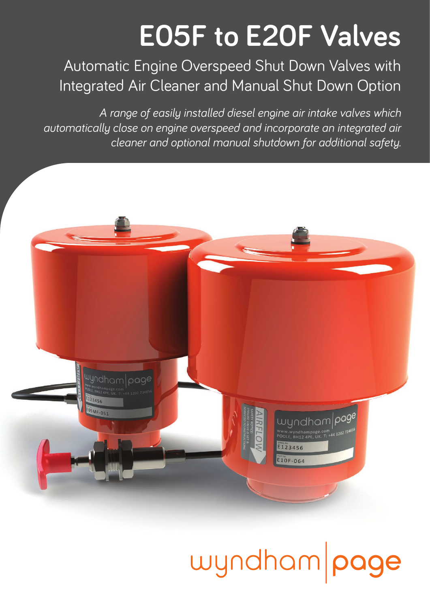### **E05F to E20F Valves**

Automatic Engine Overspeed Shut Down Valves with Integrated Air Cleaner and Manual Shut Down Option

*A range of easily installed diesel engine air intake valves which automatically close on engine overspeed and incorporate an integrated air cleaner and optional manual shutdown for additional safety.*



## wyndham page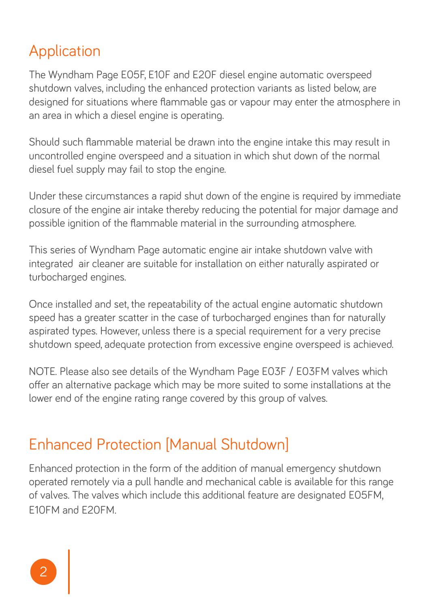#### Application

The Wyndham Page E05F, E10F and E20F diesel engine automatic overspeed shutdown valves, including the enhanced protection variants as listed below, are designed for situations where flammable gas or vapour may enter the atmosphere in an area in which a diesel engine is operating.

Should such flammable material be drawn into the engine intake this may result in uncontrolled engine overspeed and a situation in which shut down of the normal diesel fuel supply may fail to stop the engine.

Under these circumstances a rapid shut down of the engine is required by immediate closure of the engine air intake thereby reducing the potential for major damage and possible ignition of the flammable material in the surrounding atmosphere.

This series of Wyndham Page automatic engine air intake shutdown valve with integrated air cleaner are suitable for installation on either naturally aspirated or turbocharged engines.

Once installed and set, the repeatability of the actual engine automatic shutdown speed has a greater scatter in the case of turbocharged engines than for naturally aspirated types. However, unless there is a special requirement for a very precise shutdown speed, adequate protection from excessive engine overspeed is achieved.

NOTE. Please also see details of the Wyndham Page E03F / E03FM valves which offer an alternative package which may be more suited to some installations at the lower end of the engine rating range covered by this group of valves.

#### Enhanced Protection [Manual Shutdown]

Enhanced protection in the form of the addition of manual emergency shutdown operated remotely via a pull handle and mechanical cable is available for this range of valves. The valves which include this additional feature are designated E05FM, E10FM and E20FM.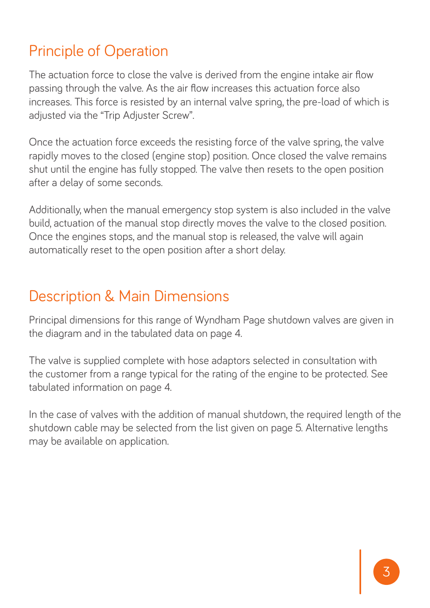#### Principle of Operation

The actuation force to close the valve is derived from the engine intake air flow passing through the valve. As the air flow increases this actuation force also increases. This force is resisted by an internal valve spring, the pre-load of which is adjusted via the "Trip Adjuster Screw".

Once the actuation force exceeds the resisting force of the valve spring, the valve rapidly moves to the closed (engine stop) position. Once closed the valve remains shut until the engine has fully stopped. The valve then resets to the open position after a delay of some seconds.

Additionally, when the manual emergency stop system is also included in the valve build, actuation of the manual stop directly moves the valve to the closed position. Once the engines stops, and the manual stop is released, the valve will again automatically reset to the open position after a short delay.

#### Description & Main Dimensions

Principal dimensions for this range of Wyndham Page shutdown valves are given in the diagram and in the tabulated data on page 4.

The valve is supplied complete with hose adaptors selected in consultation with the customer from a range typical for the rating of the engine to be protected. See tabulated information on page 4.

In the case of valves with the addition of manual shutdown, the required length of the shutdown cable may be selected from the list given on page 5. Alternative lengths may be available on application.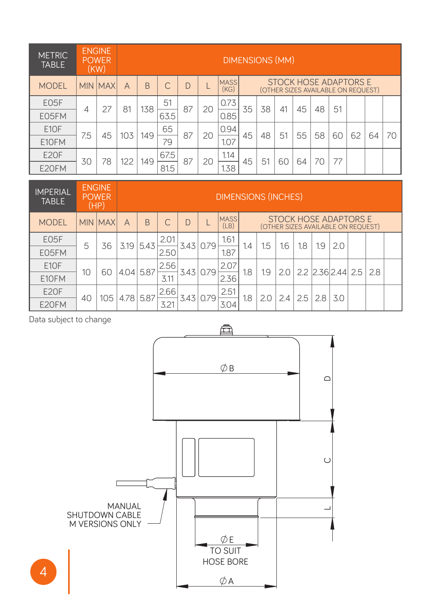| <b>METRIC</b><br><b>TABLE</b> |                | <b>ENGINE</b><br><b>POWER</b><br>(KW) |     |     |      | <b>DIMENSIONS (MM)</b> |    |                     |                                                                    |    |    |    |    |    |    |    |    |
|-------------------------------|----------------|---------------------------------------|-----|-----|------|------------------------|----|---------------------|--------------------------------------------------------------------|----|----|----|----|----|----|----|----|
| <b>MODEL</b>                  |                | <b>MIN MAX</b>                        | A   | B   |      | D                      |    | <b>MASS</b><br>(KG) | <b>STOCK HOSE ADAPTORS E</b><br>(OTHER SIZES AVAILABLE ON REOUEST) |    |    |    |    |    |    |    |    |
| E05F                          | $\overline{4}$ | 27                                    | 81  | 138 | 51   | 87                     | 20 | 0.73                | 35                                                                 | 38 | 41 | 45 | 48 | 51 |    |    |    |
| E05FM                         |                |                                       |     |     | 63.5 |                        |    | 0.85                |                                                                    |    |    |    |    |    |    |    |    |
| E10F                          | 7.5            | 45                                    | 103 | 149 | 65   | 87                     | 20 | 0.94                | 45                                                                 | 48 | 51 | 55 | 58 | 60 | 62 | 64 | 70 |
| E10FM                         |                |                                       |     |     | 79   |                        |    | 1.07                |                                                                    |    |    |    |    |    |    |    |    |
| <b>E20F</b>                   | 30             | 78                                    | 122 | 149 | 67.5 | 87                     | 20 | 1.14                | 45                                                                 | 51 | 60 | 64 | 70 | 77 |    |    |    |
| E20FM                         |                |                                       |     |     | 81.5 |                        |    | 1.38                |                                                                    |    |    |    |    |    |    |    |    |

| <b>IMPERIAL</b><br><b>TABLE</b> |    | <b>ENGINE</b><br><b>POWER</b><br>(HP) | <b>DIMENSIONS (INCHES)</b> |      |      |      |           |                     |                                                             |     |            |     |                   |     |     |  |
|---------------------------------|----|---------------------------------------|----------------------------|------|------|------|-----------|---------------------|-------------------------------------------------------------|-----|------------|-----|-------------------|-----|-----|--|
| <b>MODEL</b>                    |    | <b>MIN MAXI</b>                       | А                          | B    |      | D    |           | <b>MASS</b><br>(LB) | STOCK HOSE ADAPTORS E<br>(OTHER SIZES AVAILABLE ON REOUEST) |     |            |     |                   |     |     |  |
| E05F                            | 5  | 36                                    | 3.19                       | 5.43 | 2.01 |      | 3.43 0.79 | 1.61                | 1.4                                                         | 1.5 | <b>1.6</b> | 1.8 | 1.9               | 2.0 |     |  |
| E05FM                           |    |                                       |                            |      | 2.50 |      |           | 1.87                |                                                             |     |            |     |                   |     |     |  |
| E10F                            | 10 | 60                                    | 4.04                       | 5.87 | 2.56 |      | 3.43 0.79 | 2.07                | 1.8<br>1.9                                                  |     | 20         |     | 2.2 2.36 2.44 2.5 |     | 2.8 |  |
| E10FM                           |    |                                       |                            |      | 3.11 |      |           | 2.36                |                                                             |     |            |     |                   |     |     |  |
| <b>E20F</b>                     | 40 | 105                                   | 4.78                       | 5.87 | 2.66 | 3.43 | 0.79      | 2.51                |                                                             |     | 2.4        | 2.5 | 2.8               | 3.0 |     |  |
| E20FM                           |    |                                       |                            |      | 3.21 |      |           | 3.04                | 1.8                                                         |     |            |     |                   |     |     |  |

Data subject to change

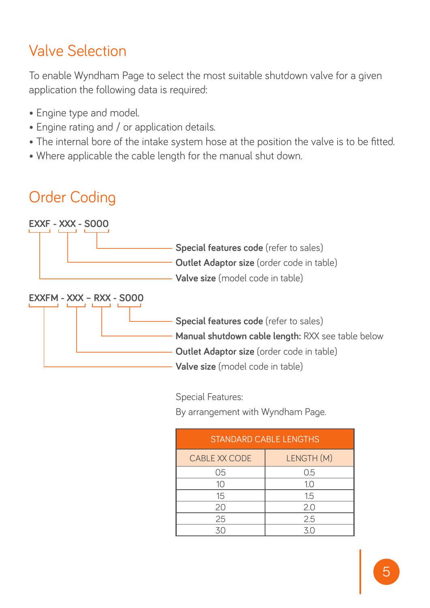### Valve Selection

To enable Wyndham Page to select the most suitable shutdown valve for a given application the following data is required:

- Engine type and model.
- Engine rating and / or application details.
- The internal bore of the intake system hose at the position the valve is to be fitted.
- Where applicable the cable length for the manual shut down.

### Order Coding



Special Features:

By arrangement with Wyndham Page.

| <b>STANDARD CABLE LENGTHS</b> |            |  |  |  |  |  |  |  |
|-------------------------------|------------|--|--|--|--|--|--|--|
| CABLE XX CODE                 | LENGTH (M) |  |  |  |  |  |  |  |
| 05                            | 0.5        |  |  |  |  |  |  |  |
| 10                            | 1.0        |  |  |  |  |  |  |  |
| 15                            | 1.5        |  |  |  |  |  |  |  |
| 20                            | 2.0        |  |  |  |  |  |  |  |
| 25                            | 2.5        |  |  |  |  |  |  |  |
| 30                            | 30         |  |  |  |  |  |  |  |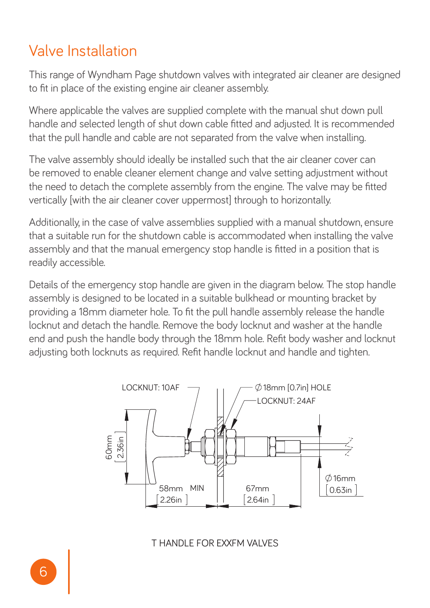#### Valve Installation

This range of Wyndham Page shutdown valves with integrated air cleaner are designed to fit in place of the existing engine air cleaner assembly.

Where applicable the valves are supplied complete with the manual shut down pull handle and selected length of shut down cable fitted and adjusted. It is recommended that the pull handle and cable are not separated from the valve when installing.

The valve assembly should ideally be installed such that the air cleaner cover can be removed to enable cleaner element change and valve setting adjustment without the need to detach the complete assembly from the engine. The valve may be fitted vertically [with the air cleaner cover uppermost] through to horizontally.

Additionally, in the case of valve assemblies supplied with a manual shutdown, ensure that a suitable run for the shutdown cable is accommodated when installing the valve assembly and that the manual emergency stop handle is fitted in a position that is readily accessible.

Details of the emergency stop handle are given in the diagram below. The stop handle assembly is designed to be located in a suitable bulkhead or mounting bracket by providing a 18mm diameter hole. To fit the pull handle assembly release the handle locknut and detach the handle. Remove the body locknut and washer at the handle end and push the handle body through the 18mm hole. Refit body washer and locknut adjusting both locknuts as required. Refit handle locknut and handle and tighten.



T HANDLE FOR EXXFM VALVES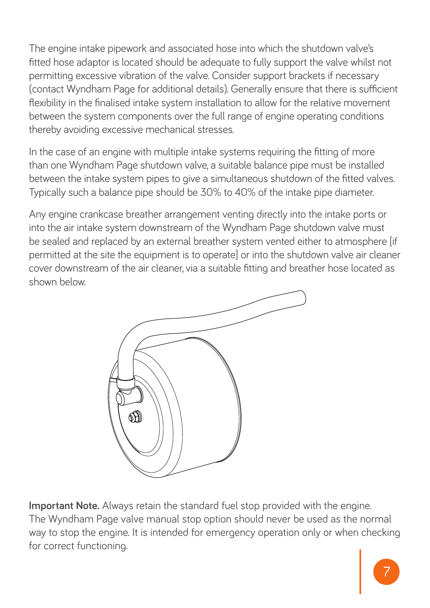The engine intake pipework and associated hose into which the shutdown valve's fitted hose adaptor is located should be adequate to fully support the valve whilst not permitting excessive vibration of the valve. Consider support brackets if necessary (contact Wyndham Page for additional details). Generally ensure that there is sufficient flexibility in the finalised intake system installation to allow for the relative movement between the system components over the full range of engine operating conditions thereby avoiding excessive mechanical stresses.

In the case of an engine with multiple intake systems requiring the fitting of more than one Wyndham Page shutdown valve, a suitable balance pipe must be installed between the intake system pipes to give a simultaneous shutdown of the fitted valves. Typically such a balance pipe should be 30% to 40% of the intake pipe diameter.

Any engine crankcase breather arrangement venting directly into the intake ports or into the air intake system downstream of the Wyndham Page shutdown valve must be sealed and replaced by an external breather system vented either to atmosphere [if permitted at the site the equipment is to operate] or into the shutdown valve air cleaner cover downstream of the air cleaner, via a suitable fitting and breather hose located as shown below.



**Important Note.** Always retain the standard fuel stop provided with the engine. The Wyndham Page valve manual stop option should never be used as the normal way to stop the engine. It is intended for emergency operation only or when checking for correct functioning.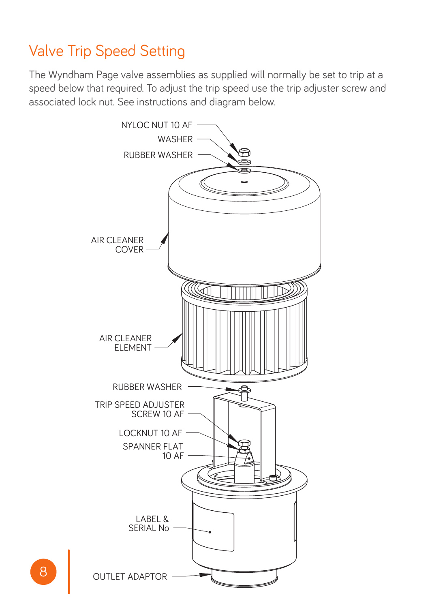#### Valve Trip Speed Setting

The Wyndham Page valve assemblies as supplied will normally be set to trip at a speed below that required. To adjust the trip speed use the trip adjuster screw and associated lock nut. See instructions and diagram below.

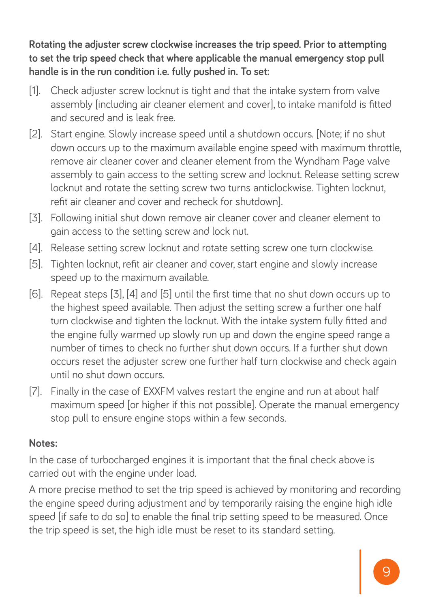**Rotating the adjuster screw clockwise increases the trip speed. Prior to attempting to set the trip speed check that where applicable the manual emergency stop pull handle is in the run condition i.e. fully pushed in. To set:**

- [1]. Check adjuster screw locknut is tight and that the intake system from valve assembly [including air cleaner element and cover], to intake manifold is fitted and secured and is leak free.
- [2]. Start engine. Slowly increase speed until a shutdown occurs. [Note; if no shut down occurs up to the maximum available engine speed with maximum throttle, remove air cleaner cover and cleaner element from the Wyndham Page valve assembly to gain access to the setting screw and locknut. Release setting screw locknut and rotate the setting screw two turns anticlockwise. Tighten locknut, refit air cleaner and cover and recheck for shutdown].
- [3]. Following initial shut down remove air cleaner cover and cleaner element to gain access to the setting screw and lock nut.
- [4]. Release setting screw locknut and rotate setting screw one turn clockwise.
- [5]. Tighten locknut, refit air cleaner and cover, start engine and slowly increase speed up to the maximum available.
- [6]. Repeat steps [3], [4] and [5] until the first time that no shut down occurs up to the highest speed available. Then adjust the setting screw a further one half turn clockwise and tighten the locknut. With the intake system fully fitted and the engine fully warmed up slowly run up and down the engine speed range a number of times to check no further shut down occurs. If a further shut down occurs reset the adjuster screw one further half turn clockwise and check again until no shut down occurs.
- [7]. Finally in the case of EXXFM valves restart the engine and run at about half maximum speed for higher if this not possible]. Operate the manual emergency stop pull to ensure engine stops within a few seconds.

#### **Notes:**

In the case of turbocharged engines it is important that the final check above is carried out with the engine under load.

A more precise method to set the trip speed is achieved by monitoring and recording the engine speed during adjustment and by temporarily raising the engine high idle speed [if safe to do so] to enable the final trip setting speed to be measured. Once the trip speed is set, the high idle must be reset to its standard setting.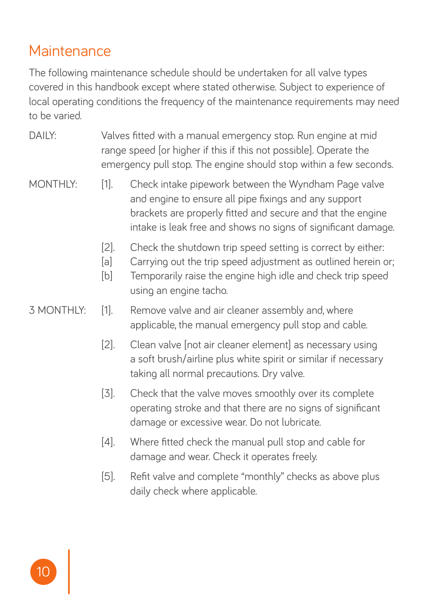#### **Maintenance**

The following maintenance schedule should be undertaken for all valve types covered in this handbook except where stated otherwise. Subject to experience of local operating conditions the frequency of the maintenance requirements may need to be varied.

- DAILY: Valves fitted with a manual emergency stop. Run engine at mid range speed [or higher if this if this not possible]. Operate the emergency pull stop. The engine should stop within a few seconds.
- MONTHLY: [1]. Check intake pipework between the Wyndham Page valve and engine to ensure all pipe fixings and any support brackets are properly fitted and secure and that the engine intake is leak free and shows no signs of significant damage.
	- [2]. Check the shutdown trip speed setting is correct by either:
	- [a] Carrying out the trip speed adjustment as outlined herein or;
	- [b] Temporarily raise the engine high idle and check trip speed using an engine tacho.
- 3 MONTHLY: [1]. Remove valve and air cleaner assembly and, where applicable, the manual emergency pull stop and cable.
	- [2]. Clean valve [not air cleaner element] as necessary using a soft brush/airline plus white spirit or similar if necessary taking all normal precautions. Dry valve.
	- [3]. Check that the valve moves smoothly over its complete operating stroke and that there are no signs of significant damage or excessive wear. Do not lubricate.
	- [4]. Where fitted check the manual pull stop and cable for damage and wear. Check it operates freely.
	- [5]. Refit valve and complete "monthly" checks as above plus daily check where applicable.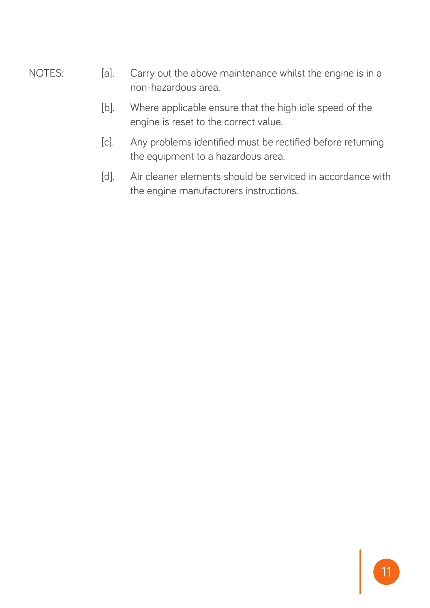- NOTES: [a]. Carry out the above maintenance whilst the engine is in a non-hazardous area.
	- [b]. Where applicable ensure that the high idle speed of the engine is reset to the correct value.
	- [c]. Any problems identified must be rectified before returning the equipment to a hazardous area.
	- [d]. Air cleaner elements should be serviced in accordance with the engine manufacturers instructions.